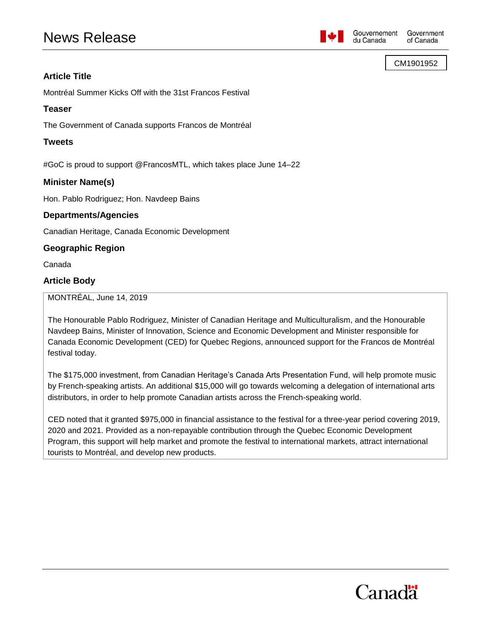# News Release



du Canada

CM1901952

## **Article Title**

Montréal Summer Kicks Off with the 31st Francos Festival

## **Teaser**

The Government of Canada supports Francos de Montréal

## **Tweets**

#GoC is proud to support @FrancosMTL, which takes place June 14–22

## **Minister Name(s)**

Hon. Pablo Rodriguez; Hon. Navdeep Bains

## **Departments/Agencies**

Canadian Heritage, Canada Economic Development

## **Geographic Region**

Canada

## **Article Body**

MONTRÉAL, June 14, 2019

The Honourable Pablo Rodriguez, Minister of Canadian Heritage and Multiculturalism, and the Honourable Navdeep Bains, Minister of Innovation, Science and Economic Development and Minister responsible for Canada Economic Development (CED) for Quebec Regions, announced support for the Francos de Montréal festival today.

The \$175,000 investment, from Canadian Heritage's Canada Arts Presentation Fund, will help promote music by French-speaking artists. An additional \$15,000 will go towards welcoming a delegation of international arts distributors, in order to help promote Canadian artists across the French-speaking world.

CED noted that it granted \$975,000 in financial assistance to the festival for a three-year period covering 2019, 2020 and 2021. Provided as a non-repayable contribution through the Quebec Economic Development Program, this support will help market and promote the festival to international markets, attract international tourists to Montréal, and develop new products.

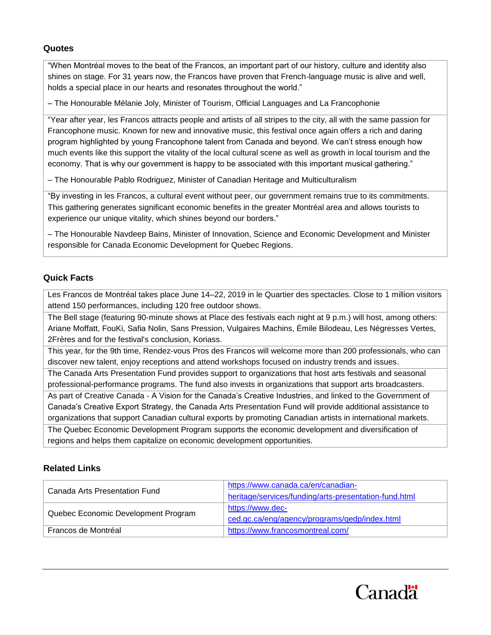## **Quotes**

"When Montréal moves to the beat of the Francos, an important part of our history, culture and identity also shines on stage. For 31 years now, the Francos have proven that French-language music is alive and well, holds a special place in our hearts and resonates throughout the world."

– The Honourable Mélanie Joly, Minister of Tourism, Official Languages and La Francophonie

"Year after year, les Francos attracts people and artists of all stripes to the city, all with the same passion for Francophone music. Known for new and innovative music, this festival once again offers a rich and daring program highlighted by young Francophone talent from Canada and beyond. We can't stress enough how much events like this support the vitality of the local cultural scene as well as growth in local tourism and the economy. That is why our government is happy to be associated with this important musical gathering."

– The Honourable Pablo Rodriguez, Minister of Canadian Heritage and Multiculturalism

"By investing in les Francos, a cultural event without peer, our government remains true to its commitments. This gathering generates significant economic benefits in the greater Montréal area and allows tourists to experience our unique vitality, which shines beyond our borders."

– The Honourable Navdeep Bains, Minister of Innovation, Science and Economic Development and Minister responsible for Canada Economic Development for Quebec Regions.

## **Quick Facts**

Les Francos de Montréal takes place June 14–22, 2019 in le Quartier des spectacles. Close to 1 million visitors attend 150 performances, including 120 free outdoor shows.

The Bell stage (featuring 90-minute shows at Place des festivals each night at 9 p.m.) will host, among others: Ariane Moffatt, FouKi, Safia Nolin, Sans Pression, Vulgaires Machins, Émile Bilodeau, Les Négresses Vertes, 2Frères and for the festival's conclusion, Koriass.

This year, for the 9th time, Rendez-vous Pros des Francos will welcome more than 200 professionals, who can discover new talent, enjoy receptions and attend workshops focused on industry trends and issues.

The Canada Arts Presentation Fund provides support to organizations that host arts festivals and seasonal professional-performance programs. The fund also invests in organizations that support arts broadcasters.

As part of Creative Canada - A Vision for the Canada's Creative Industries, and linked to the Government of Canada's Creative Export Strategy, the Canada Arts Presentation Fund will provide additional assistance to organizations that support Canadian cultural exports by promoting Canadian artists in international markets.

The Quebec Economic Development Program supports the economic development and diversification of regions and helps them capitalize on economic development opportunities.

## **Related Links**

| Canada Arts Presentation Fund       | https://www.canada.ca/en/canadian-                    |
|-------------------------------------|-------------------------------------------------------|
|                                     | heritage/services/funding/arts-presentation-fund.html |
| Quebec Economic Development Program | https://www.dec-                                      |
|                                     | ced.gc.ca/eng/agency/programs/gedp/index.html         |
| Francos de Montréal                 | https://www.francosmontreal.com/                      |